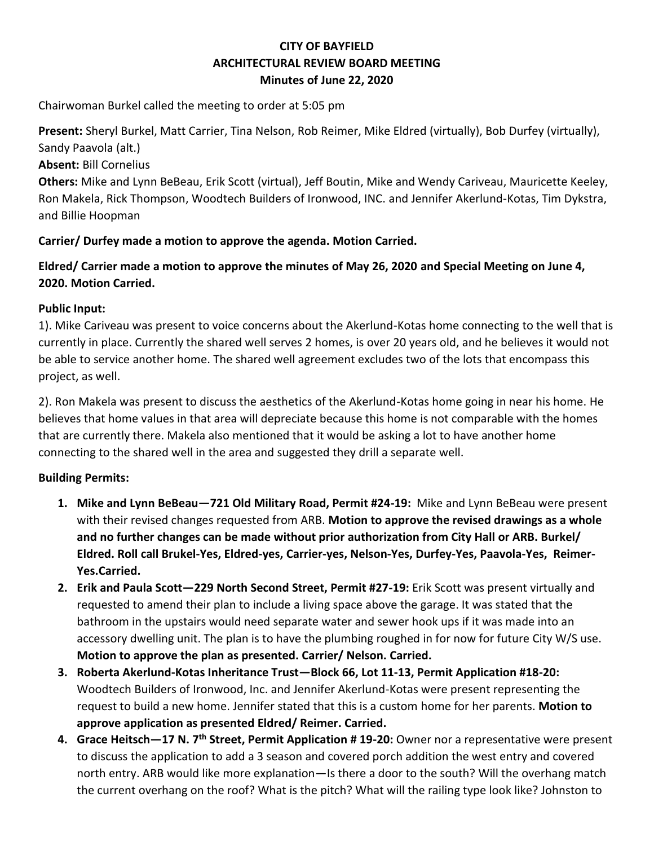### **CITY OF BAYFIELD ARCHITECTURAL REVIEW BOARD MEETING Minutes of June 22, 2020**

Chairwoman Burkel called the meeting to order at 5:05 pm

**Present:** Sheryl Burkel, Matt Carrier, Tina Nelson, Rob Reimer, Mike Eldred (virtually), Bob Durfey (virtually), Sandy Paavola (alt.)

**Absent:** Bill Cornelius

**Others:** Mike and Lynn BeBeau, Erik Scott (virtual), Jeff Boutin, Mike and Wendy Cariveau, Mauricette Keeley, Ron Makela, Rick Thompson, Woodtech Builders of Ironwood, INC. and Jennifer Akerlund-Kotas, Tim Dykstra, and Billie Hoopman

## **Carrier/ Durfey made a motion to approve the agenda. Motion Carried.**

# **Eldred/ Carrier made a motion to approve the minutes of May 26, 2020 and Special Meeting on June 4, 2020. Motion Carried.**

#### **Public Input:**

1). Mike Cariveau was present to voice concerns about the Akerlund-Kotas home connecting to the well that is currently in place. Currently the shared well serves 2 homes, is over 20 years old, and he believes it would not be able to service another home. The shared well agreement excludes two of the lots that encompass this project, as well.

2). Ron Makela was present to discuss the aesthetics of the Akerlund-Kotas home going in near his home. He believes that home values in that area will depreciate because this home is not comparable with the homes that are currently there. Makela also mentioned that it would be asking a lot to have another home connecting to the shared well in the area and suggested they drill a separate well.

### **Building Permits:**

- **1. Mike and Lynn BeBeau—721 Old Military Road, Permit #24-19:** Mike and Lynn BeBeau were present with their revised changes requested from ARB. **Motion to approve the revised drawings as a whole and no further changes can be made without prior authorization from City Hall or ARB. Burkel/ Eldred. Roll call Brukel-Yes, Eldred-yes, Carrier-yes, Nelson-Yes, Durfey-Yes, Paavola-Yes, Reimer-Yes.Carried.**
- **2. Erik and Paula Scott—229 North Second Street, Permit #27-19:** Erik Scott was present virtually and requested to amend their plan to include a living space above the garage. It was stated that the bathroom in the upstairs would need separate water and sewer hook ups if it was made into an accessory dwelling unit. The plan is to have the plumbing roughed in for now for future City W/S use. **Motion to approve the plan as presented. Carrier/ Nelson. Carried.**
- **3. Roberta Akerlund-Kotas Inheritance Trust—Block 66, Lot 11-13, Permit Application #18-20:**  Woodtech Builders of Ironwood, Inc. and Jennifer Akerlund-Kotas were present representing the request to build a new home. Jennifer stated that this is a custom home for her parents. **Motion to approve application as presented Eldred/ Reimer. Carried.**
- **4. Grace Heitsch—17 N. 7th Street, Permit Application # 19-20:** Owner nor a representative were present to discuss the application to add a 3 season and covered porch addition the west entry and covered north entry. ARB would like more explanation—Is there a door to the south? Will the overhang match the current overhang on the roof? What is the pitch? What will the railing type look like? Johnston to